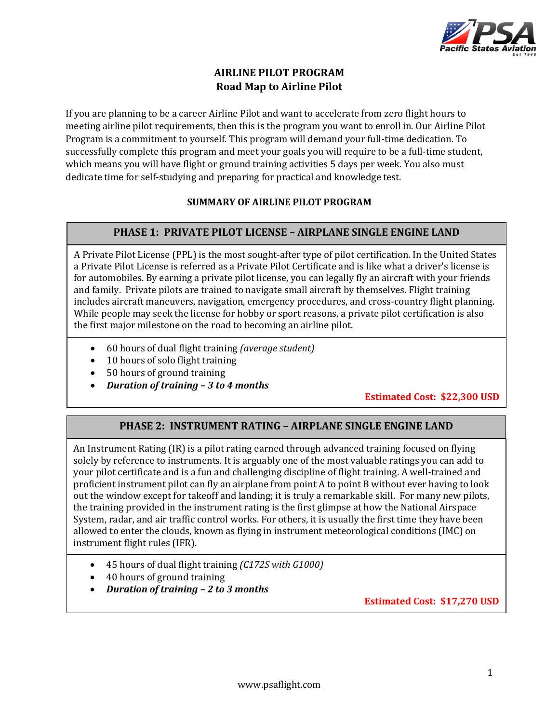

# **AIRLINE PILOT PROGRAM Road Map to Airline Pilot**

If you are planning to be a career Airline Pilot and want to accelerate from zero flight hours to meeting airline pilot requirements, then this is the program you want to enroll in. Our Airline Pilot Program is a commitment to yourself. This program will demand your full-time dedication. To successfully complete this program and meet your goals you will require to be a full-time student, which means you will have flight or ground training activities 5 days per week. You also must dedicate time for self-studying and preparing for practical and knowledge test.

### **SUMMARY OF AIRLINE PILOT PROGRAM**

### **PHASE 1: PRIVATE PILOT LICENSE – AIRPLANE SINGLE ENGINE LAND**

A Private Pilot License (PPL) is the most sought-after type of pilot certification. In the United States a Private Pilot License is referred as a Private Pilot Certificate and is like what a driver's license is for automobiles. By earning a private pilot license, you can legally fly an aircraft with your friends and family. Private pilots are trained to navigate small aircraft by themselves. Flight training includes aircraft maneuvers, navigation, emergency procedures, and cross-country flight planning. While people may seek the license for hobby or sport reasons, a private pilot certification is also the first major milestone on the road to becoming an airline pilot.

- 60 hours of dual flight training *(average student)*
- 10 hours of solo flight training
- 50 hours of ground training
- *Duration of training – 3 to 4 months*

# **Estimated Cost: \$22,300 USD**

# **PHASE 2: INSTRUMENT RATING – AIRPLANE SINGLE ENGINE LAND**

An Instrument Rating (IR) is a pilot rating earned through advanced training focused on flying solely by reference to instruments. It is arguably one of the most valuable ratings you can add to your pilot certificate and is a fun and challenging discipline of flight training. A well-trained and proficient instrument pilot can fly an airplane from point A to point B without ever having to look out the window except for takeoff and landing; it is truly a remarkable skill. For many new pilots, the training provided in the instrument rating is the first glimpse at how the National Airspace System, radar, and air traffic control works. For others, it is usually the first time they have been allowed to enter the clouds, known as flying in instrument meteorological conditions (IMC) on instrument flight rules (IFR).

- 45 hours of dual flight training *(C172S with G1000)*
- 40 hours of ground training
- *Duration of training – 2 to 3 months*

**Estimated Cost: \$17,270 USD**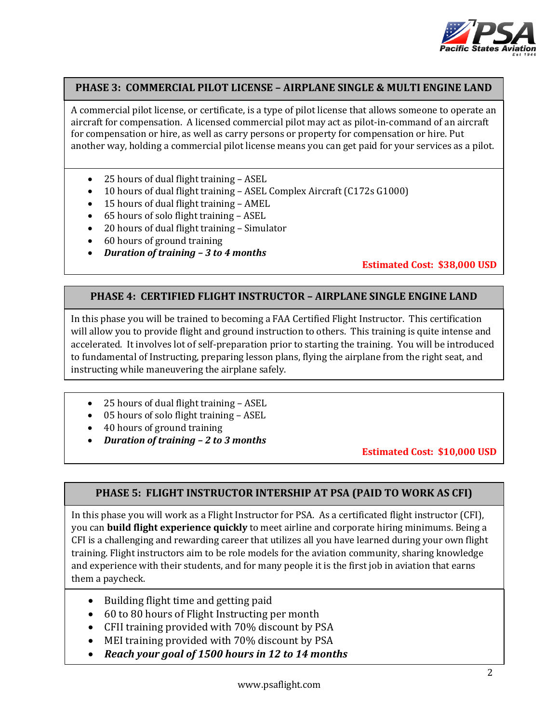

### **PHASE 3: COMMERCIAL PILOT LICENSE – AIRPLANE SINGLE & MULTI ENGINE LAND**

A commercial pilot license, or certificate, is a type of pilot license that allows someone to operate an aircraft for compensation. A licensed commercial pilot may act as pilot-in-command of an aircraft for compensation or hire, as well as carry persons or property for compensation or hire. Put another way, holding a commercial pilot license means you can get paid for your services as a pilot.

- 25 hours of dual flight training ASEL
- 10 hours of dual flight training ASEL Complex Aircraft (C172s G1000)
- 15 hours of dual flight training AMEL
- 65 hours of solo flight training ASEL
- 20 hours of dual flight training Simulator
- 60 hours of ground training
- *Duration of training – 3 to 4 months*

### **Estimated Cost: \$38,000 USD**

### **PHASE 4: CERTIFIED FLIGHT INSTRUCTOR – AIRPLANE SINGLE ENGINE LAND**

In this phase you will be trained to becoming a FAA Certified Flight Instructor. This certification will allow you to provide flight and ground instruction to others. This training is quite intense and accelerated. It involves lot of self-preparation prior to starting the training. You will be introduced to fundamental of Instructing, preparing lesson plans, flying the airplane from the right seat, and instructing while maneuvering the airplane safely.

- 25 hours of dual flight training ASEL
- 05 hours of solo flight training ASEL
- 40 hours of ground training
- *Duration of training – 2 to 3 months*

**Estimated Cost: \$10,000 USD**

#### **PHASE 5: FLIGHT INSTRUCTOR INTERSHIP AT PSA (PAID TO WORK AS CFI)**

In this phase you will work as a Flight Instructor for PSA. As a certificated flight instructor (CFI), you can **build flight experience quickly** to meet airline and corporate hiring minimums. Being a CFI is a challenging and rewarding career that utilizes all you have learned during your own flight training. Flight instructors aim to be role models for the aviation community, sharing knowledge and experience with their students, and for many people it is the first job in aviation that earns them a paycheck.

- Building flight time and getting paid
- 60 to 80 hours of Flight Instructing per month
- CFII training provided with 70% discount by PSA
- MEI training provided with 70% discount by PSA
- *Reach your goal of 1500 hours in 12 to 14 months*